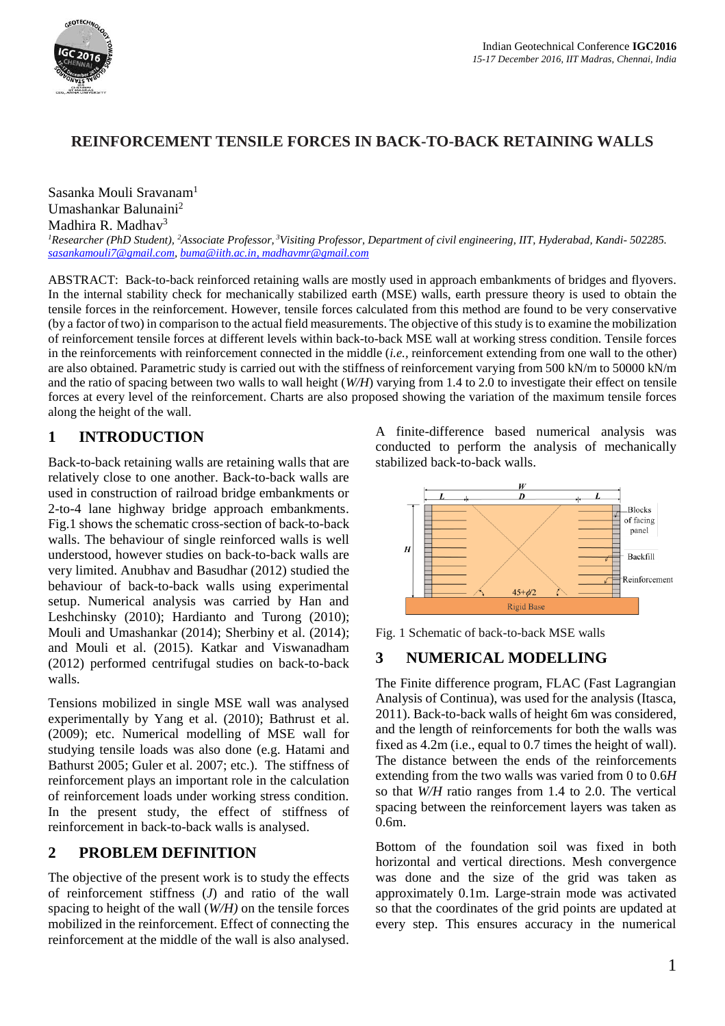

# **REINFORCEMENT TENSILE FORCES IN BACK-TO-BACK RETAINING WALLS**

Sasanka Mouli Sravanam<sup>1</sup> Umashankar Balunaini<sup>2</sup> Madhira R. Madhav<sup>3</sup>

*<sup>1</sup>Researcher (PhD Student), <sup>2</sup>Associate Professor, <sup>3</sup>Visiting Professor, Department of civil engineering, IIT, Hyderabad, Kandi- 502285. [sasankamouli7@gmail.com,](mailto:sasankamouli7@gmail.com) [buma@iith.ac.in,](mailto:buma@iith.ac.in) madhavmr@gmail.com*

ABSTRACT: Back-to-back reinforced retaining walls are mostly used in approach embankments of bridges and flyovers. In the internal stability check for mechanically stabilized earth (MSE) walls, earth pressure theory is used to obtain the tensile forces in the reinforcement. However, tensile forces calculated from this method are found to be very conservative (by a factor of two) in comparison to the actual field measurements. The objective of this study is to examine the mobilization of reinforcement tensile forces at different levels within back-to-back MSE wall at working stress condition. Tensile forces in the reinforcements with reinforcement connected in the middle (*i.e.,* reinforcement extending from one wall to the other) are also obtained. Parametric study is carried out with the stiffness of reinforcement varying from 500 kN/m to 50000 kN/m and the ratio of spacing between two walls to wall height (*W/H*) varying from 1.4 to 2.0 to investigate their effect on tensile forces at every level of the reinforcement. Charts are also proposed showing the variation of the maximum tensile forces along the height of the wall.

# **1 INTRODUCTION**

Back-to-back retaining walls are retaining walls that are relatively close to one another. Back-to-back walls are used in construction of railroad bridge embankments or 2-to-4 lane highway bridge approach embankments. Fig.1 shows the schematic cross-section of back-to-back walls. The behaviour of single reinforced walls is well understood, however studies on back-to-back walls are very limited. Anubhav and Basudhar (2012) studied the behaviour of back-to-back walls using experimental setup. Numerical analysis was carried by Han and Leshchinsky (2010); Hardianto and Turong (2010); Mouli and Umashankar (2014); Sherbiny et al. (2014); and Mouli et al. (2015). Katkar and Viswanadham (2012) performed centrifugal studies on back-to-back walls.

Tensions mobilized in single MSE wall was analysed experimentally by Yang et al. (2010); Bathrust et al. (2009); etc. Numerical modelling of MSE wall for studying tensile loads was also done (e.g. Hatami and Bathurst 2005; Guler et al. 2007; etc.). The stiffness of reinforcement plays an important role in the calculation of reinforcement loads under working stress condition. In the present study, the effect of stiffness of reinforcement in back-to-back walls is analysed.

## **2 PROBLEM DEFINITION**

The objective of the present work is to study the effects of reinforcement stiffness (*J*) and ratio of the wall spacing to height of the wall (*W/H)* on the tensile forces mobilized in the reinforcement. Effect of connecting the reinforcement at the middle of the wall is also analysed.

A finite-difference based numerical analysis was conducted to perform the analysis of mechanically stabilized back-to-back walls.



Fig. 1 Schematic of back-to-back MSE walls

## **3 NUMERICAL MODELLING**

The Finite difference program, FLAC (Fast Lagrangian Analysis of Continua), was used for the analysis (Itasca, 2011). Back-to-back walls of height 6m was considered, and the length of reinforcements for both the walls was fixed as 4.2m (i.e., equal to 0.7 times the height of wall). The distance between the ends of the reinforcements extending from the two walls was varied from 0 to 0.6*H* so that *W/H* ratio ranges from 1.4 to 2.0. The vertical spacing between the reinforcement layers was taken as 0.6m.

Bottom of the foundation soil was fixed in both horizontal and vertical directions. Mesh convergence was done and the size of the grid was taken as approximately 0.1m. Large-strain mode was activated so that the coordinates of the grid points are updated at every step. This ensures accuracy in the numerical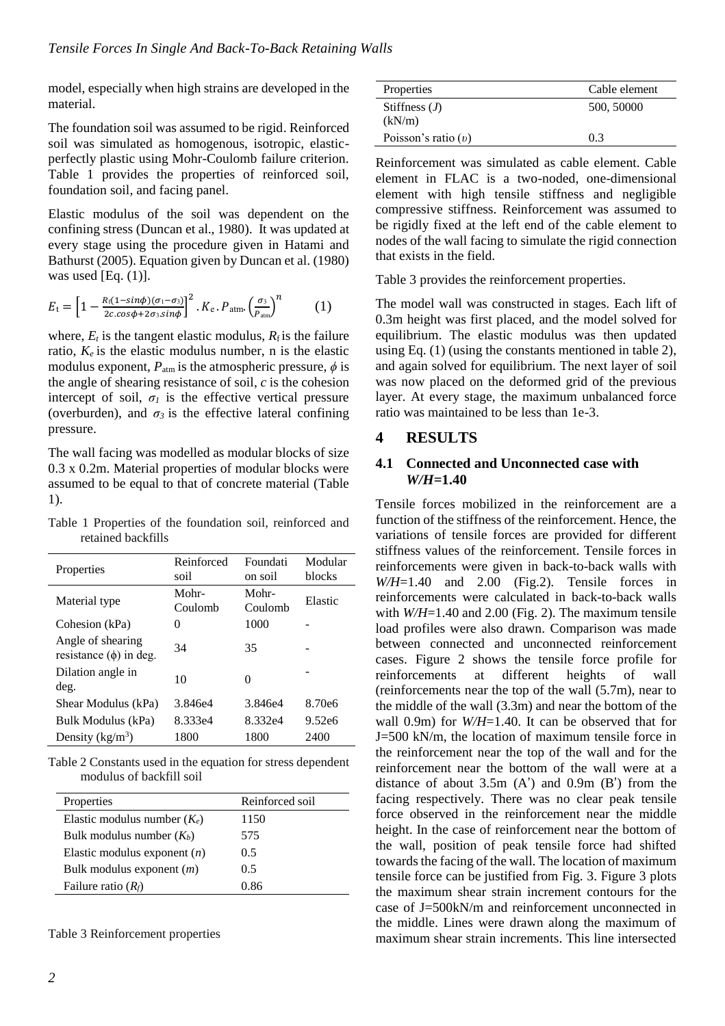model, especially when high strains are developed in the material.

The foundation soil was assumed to be rigid. Reinforced soil was simulated as homogenous, isotropic, elasticperfectly plastic using Mohr-Coulomb failure criterion. Table 1 provides the properties of reinforced soil, foundation soil, and facing panel.

Elastic modulus of the soil was dependent on the confining stress (Duncan et al., 1980). It was updated at every stage using the procedure given in Hatami and Bathurst (2005). Equation given by Duncan et al. (1980) was used  $[Eq. (1)].$ 

$$
E_{\rm t} = \left[1 - \frac{R_{\rm f}(1-\sin\phi)(\sigma_{\rm l}-\sigma_{\rm 3})}{2c\cos\phi + 2\sigma_{\rm 3}\sin\phi}\right]^2 \cdot K_{\rm e} \cdot P_{\rm atm} \cdot \left(\frac{\sigma_{\rm 3}}{P_{\rm atm}}\right)^n \tag{1}
$$

where,  $E_t$  is the tangent elastic modulus,  $R_f$  is the failure ratio,  $K_e$  is the elastic modulus number, n is the elastic modulus exponent,  $P_{\text{atm}}$  is the atmospheric pressure,  $\phi$  is the angle of shearing resistance of soil, *c* is the cohesion intercept of soil,  $\sigma_l$  is the effective vertical pressure (overburden), and  $\sigma_3$  is the effective lateral confining pressure.

The wall facing was modelled as modular blocks of size 0.3 x 0.2m. Material properties of modular blocks were assumed to be equal to that of concrete material [\(Table](#page-1-0) [1\)](#page-1-0).

<span id="page-1-0"></span>Table 1 Properties of the foundation soil, reinforced and retained backfills

| Properties                                       | Reinforced<br>soil | Foundati<br>on soil | Modular<br>blocks |
|--------------------------------------------------|--------------------|---------------------|-------------------|
| Material type                                    | Mohr-<br>Coulomb   | Mohr-<br>Coulomb    | Elastic           |
| Cohesion (kPa)                                   | 0                  | 1000                |                   |
| Angle of shearing<br>resistance $(\phi)$ in deg. | 34                 | 35                  |                   |
| Dilation angle in<br>deg.                        | 10                 | 0                   |                   |
| Shear Modulus (kPa)                              | 3.846e4            | 3.846e4             | 8.70e6            |
| Bulk Modulus (kPa)                               | 8.333e4            | 8.332e4             | 9.52e6            |
| Density $(kg/m^3)$                               | 1800               | 1800                | 2400              |

Table 2 Constants used in the equation for stress dependent modulus of backfill soil

| Properties                     | Reinforced soil |
|--------------------------------|-----------------|
| Elastic modulus number $(K_e)$ | 1150            |
| Bulk modulus number $(K_h)$    | 575             |
| Elastic modulus exponent $(n)$ | 0.5             |
| Bulk modulus exponent $(m)$    | 0.5             |
| Failure ratio $(R_f)$          | 0.86            |

<span id="page-1-1"></span>Table 3 Reinforcement properties

Reinforcement was simulated as cable element. Cable element in FLAC is a two-noded, one-dimensional element with high tensile stiffness and negligible compressive stiffness. Reinforcement was assumed to be rigidly fixed at the left end of the cable element to nodes of the wall facing to simulate the rigid connection that exists in the field.

[Table 3](#page-1-1) provides the reinforcement properties.

The model wall was constructed in stages. Each lift of 0.3m height was first placed, and the model solved for equilibrium. The elastic modulus was then updated using Eq. (1) (using the constants mentioned in table 2), and again solved for equilibrium. The next layer of soil was now placed on the deformed grid of the previous layer. At every stage, the maximum unbalanced force ratio was maintained to be less than 1e-3.

## **4 RESULTS**

#### **4.1 Connected and Unconnected case with**  *W/H***=1.40**

Tensile forces mobilized in the reinforcement are a function of the stiffness of the reinforcement. Hence, the variations of tensile forces are provided for different stiffness values of the reinforcement. Tensile forces in reinforcements were given in back-to-back walls with *W/H*=1.40 and 2.00 (Fig.2). Tensile forces in reinforcements were calculated in back-to-back walls with  $W/H=1.40$  and 2.00 (Fig. 2). The maximum tensile load profiles were also drawn. Comparison was made between connected and unconnected reinforcement cases. Figure 2 shows the tensile force profile for reinforcements at different heights of wall (reinforcements near the top of the wall (5.7m), near to the middle of the wall (3.3m) and near the bottom of the wall 0.9m) for *W/H*=1.40. It can be observed that for J=500 kN/m, the location of maximum tensile force in the reinforcement near the top of the wall and for the reinforcement near the bottom of the wall were at a distance of about  $3.5m$  (A') and  $0.9m$  (B') from the facing respectively. There was no clear peak tensile force observed in the reinforcement near the middle height. In the case of reinforcement near the bottom of the wall, position of peak tensile force had shifted towards the facing of the wall. The location of maximum tensile force can be justified from Fig. 3. Figure 3 plots the maximum shear strain increment contours for the case of J=500kN/m and reinforcement unconnected in the middle. Lines were drawn along the maximum of maximum shear strain increments. This line intersected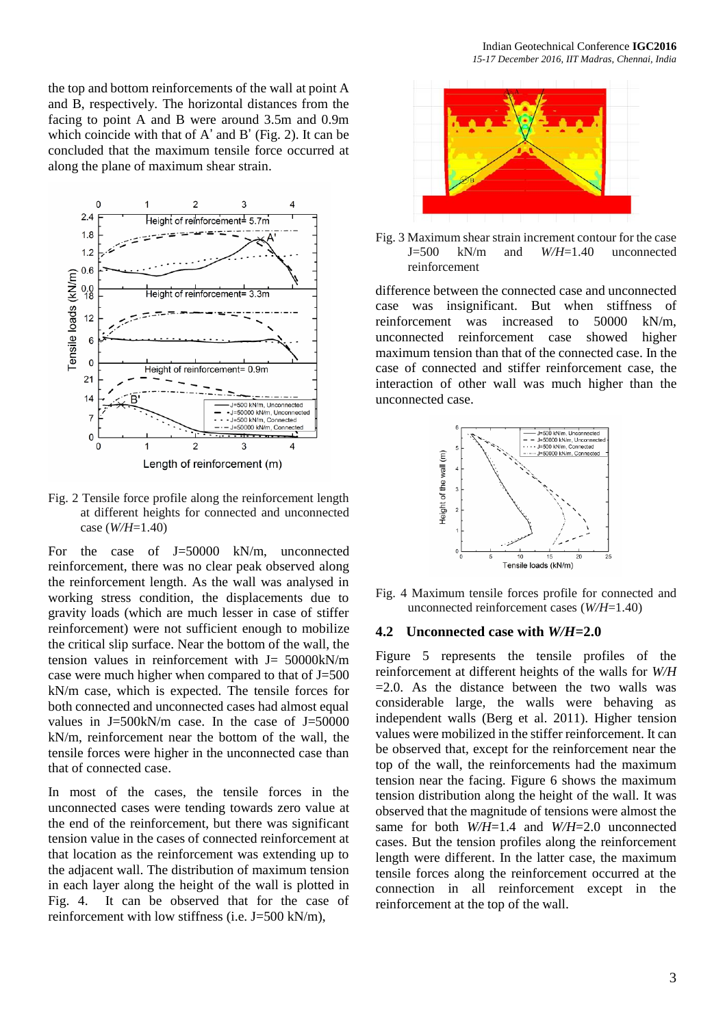the top and bottom reinforcements of the wall at point A and B, respectively. The horizontal distances from the facing to point A and B were around 3.5m and 0.9m which coincide with that of A' and B' (Fig. 2). It can be concluded that the maximum tensile force occurred at along the plane of maximum shear strain.



Fig. 2 Tensile force profile along the reinforcement length at different heights for connected and unconnected case (*W/H*=1.40)

For the case of J=50000 kN/m, unconnected reinforcement, there was no clear peak observed along the reinforcement length. As the wall was analysed in working stress condition, the displacements due to gravity loads (which are much lesser in case of stiffer reinforcement) were not sufficient enough to mobilize the critical slip surface. Near the bottom of the wall, the tension values in reinforcement with  $J = 50000 \text{kN/m}$ case were much higher when compared to that of J=500 kN/m case, which is expected. The tensile forces for both connected and unconnected cases had almost equal values in  $J=500kN/m$  case. In the case of  $J=50000$ kN/m, reinforcement near the bottom of the wall, the tensile forces were higher in the unconnected case than that of connected case.

In most of the cases, the tensile forces in the unconnected cases were tending towards zero value at the end of the reinforcement, but there was significant tension value in the cases of connected reinforcement at that location as the reinforcement was extending up to the adjacent wall. The distribution of maximum tension in each layer along the height of the wall is plotted in Fig. 4. It can be observed that for the case of reinforcement with low stiffness (i.e.  $J=500 \text{ kN/m}$ ).



Fig. 3 Maximum shear strain increment contour for the case J=500 kN/m and *W/H*=1.40 unconnected reinforcement

difference between the connected case and unconnected case was insignificant. But when stiffness of reinforcement was increased to 50000 kN/m, unconnected reinforcement case showed higher maximum tension than that of the connected case. In the case of connected and stiffer reinforcement case, the interaction of other wall was much higher than the unconnected case.



Fig. 4 Maximum tensile forces profile for connected and unconnected reinforcement cases (*W/H*=1.40)

#### **4.2 Unconnected case with** *W/H***=2.0**

Figure 5 represents the tensile profiles of the reinforcement at different heights of the walls for *W/H*  $=2.0$ . As the distance between the two walls was considerable large, the walls were behaving as independent walls (Berg et al. 2011). Higher tension values were mobilized in the stiffer reinforcement. It can be observed that, except for the reinforcement near the top of the wall, the reinforcements had the maximum tension near the facing. Figure 6 shows the maximum tension distribution along the height of the wall. It was observed that the magnitude of tensions were almost the same for both *W/H*=1.4 and *W/H*=2.0 unconnected cases. But the tension profiles along the reinforcement length were different. In the latter case, the maximum tensile forces along the reinforcement occurred at the connection in all reinforcement except in the reinforcement at the top of the wall.